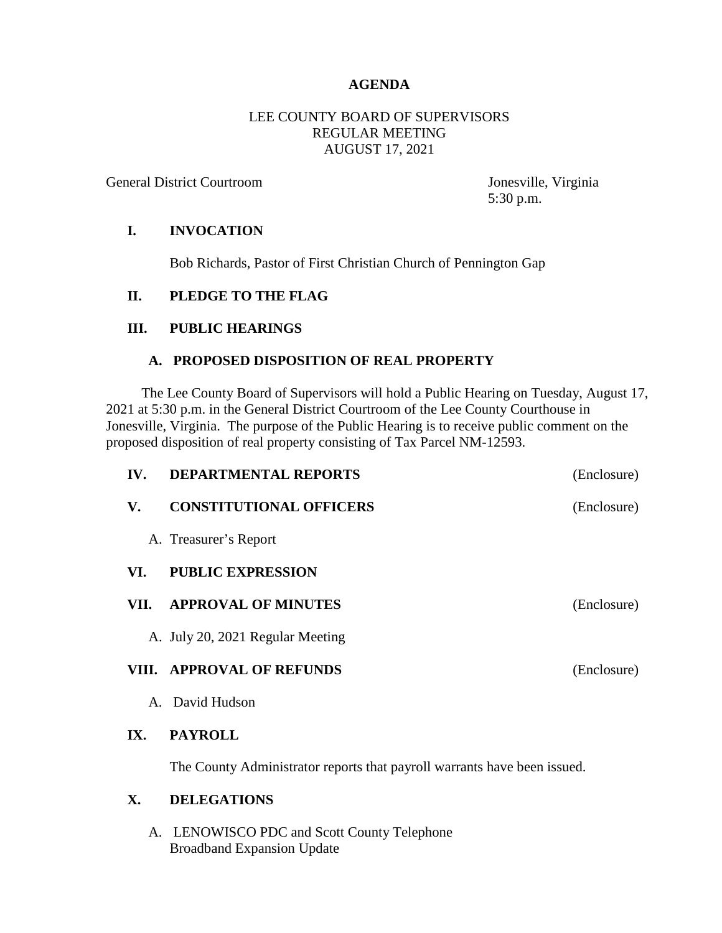# **AGENDA**

### LEE COUNTY BOARD OF SUPERVISORS REGULAR MEETING AUGUST 17, 2021

General District Courtroom Jonesville, Virginia

5:30 p.m.

### **I. INVOCATION**

Bob Richards, Pastor of First Christian Church of Pennington Gap

# **II. PLEDGE TO THE FLAG**

# **III. PUBLIC HEARINGS**

#### **A. PROPOSED DISPOSITION OF REAL PROPERTY**

 The Lee County Board of Supervisors will hold a Public Hearing on Tuesday, August 17, 2021 at 5:30 p.m. in the General District Courtroom of the Lee County Courthouse in Jonesville, Virginia. The purpose of the Public Hearing is to receive public comment on the proposed disposition of real property consisting of Tax Parcel NM-12593.

| IV.  | <b>DEPARTMENTAL REPORTS</b>      | (Enclosure) |
|------|----------------------------------|-------------|
| V.   | <b>CONSTITUTIONAL OFFICERS</b>   | (Enclosure) |
|      | A. Treasurer's Report            |             |
| VI.  | <b>PUBLIC EXPRESSION</b>         |             |
| VII. | <b>APPROVAL OF MINUTES</b>       | (Enclosure) |
|      | A. July 20, 2021 Regular Meeting |             |
|      | VIII. APPROVAL OF REFUNDS        | (Enclosure) |
|      | A. David Hudson                  |             |
| IX.  | <b>PAYROLL</b>                   |             |

The County Administrator reports that payroll warrants have been issued.

### **X. DELEGATIONS**

A. LENOWISCO PDC and Scott County Telephone Broadband Expansion Update